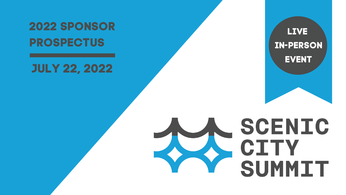# **L I V E I N - P E R S O N** EVENT

# SCENIC CITY SUMMIT

### **2 0 2 2 S P O N S O R PROSPECTUS**

### **J U L Y 2 2 , 2 0 2 2**

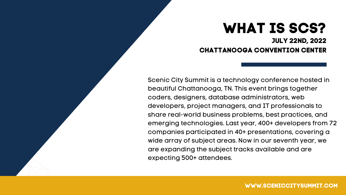Scenic City Summit is a technology conference hosted in beautiful Chattanooga, TN. This event brings together coders, designers, database administrators, web developers, project managers, and IT professionals to share real-world business problems, best practices, and emerging technologies. Last year, 400+ developers from 72 companies participated in 40+ presentations, covering a wide array of subject areas. Now in our seventh year, we are expanding the subject tracks available and are expecting 500+ attendees.

### **WHAT IS SCS? JULY 22ND, 2022 CHATTANOOGA CONVENTION CENTER**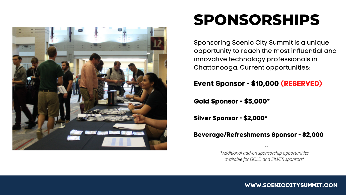

# **SPONSORSHIPS**

Sponsoring Scenic City Summit is a unique opportunity to reach the most influential and innovative technology professionals in Chattanooga. Current opportunities:

#### **Event Sponsor - \$10,000 (RESERVED)**

#### **Gold Sponsor - \$5,000**\*

**Silver Sponsor - \$2,000**\*

#### **Beverage/Refreshments Sponsor - \$2,000**

**WWW.SCENICCITYSUMMIT.COM**

*\*Additional add-on sponsorship opportunities available for GOLD and SILVER sponsors!*

*--*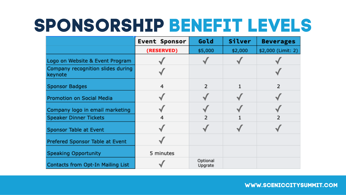# **SPONSORSHIP BENEFIT LEVELS**

|                                              | <b>Event Sponsor</b> | Gold                | Silver  | <b>Beverages</b>   |
|----------------------------------------------|----------------------|---------------------|---------|--------------------|
|                                              | (RESERVED)           | \$5,000             | \$2,000 | \$2,000 (Limit: 2) |
| Logo on Website & Event Program              |                      |                     |         |                    |
| Company recognition slides during<br>keynote |                      |                     |         |                    |
| <b>Sponsor Badges</b>                        | 4                    | 2                   |         | 2                  |
| Promotion on Social Media                    |                      |                     |         |                    |
| Company logo in email marketing              |                      |                     |         |                    |
| <b>Speaker Dinner Tickets</b>                | 4                    |                     |         | 2                  |
| Sponsor Table at Event                       |                      |                     |         |                    |
| Prefered Sponsor Table at Event              |                      |                     |         |                    |
| <b>Speaking Opportunity</b>                  | 5 minutes            |                     |         |                    |
| Contacts from Opt-In Mailing List            |                      | Optional<br>Upgrate |         |                    |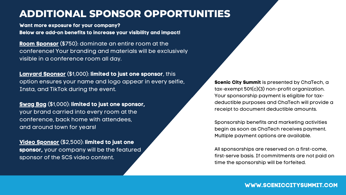#### **ADDITIONAL SPONSOR OPPORTUNITIES**

**Room Sponsor** (\$750): dominate an entire room at the conference! Your branding and materials will be exclusively visible in a conference room all day.

**Lanyard Sponsor** (\$1,000): **limited to just one sponsor**, this option ensures your name and logo appear in every selfie, Insta, and TikTok during the event.

**Swag Bag** (\$1,000): **limited to just one sponsor,** your brand carried into every room at the conference, back home with attendees, and around town for years!

**Video Sponsor** (\$2,500): **limited to just one sponsor,** your company will be the featured sponsor of the SCS video content.

**Scenic City Summit** is presented by ChaTech, a tax-exempt 501(c)(3) non-profit organization. Your sponsorship payment is eligible for taxdeductible purposes and ChaTech will provide a receipt to document deductible amounts.

Sponsorship benefits and marketing activities begin as soon as ChaTech receives payment. Multiple payment options are available.

All sponsorships are reserved on a first-come, first-serve basis. If commitments are not paid on time the sponsorship will be forfeited.

#### **WWW.SCENICCITYSUMMIT.COM**

**Want more exposure for your company? Below are add-on benefits to increase your visibility and impact!**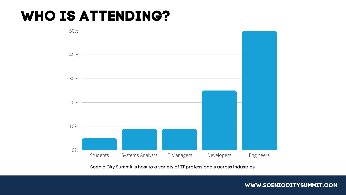# **WHO IS ATTENDING?**

Scenic City Summit is host to a variety of IT professionals across industries.

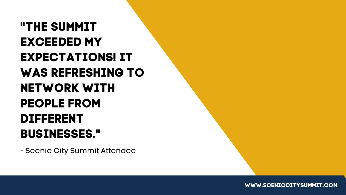# **"THE SUMMIT EXCEEDED MY EXPECTATIONS! IT WAS REFRESHING TO NETWORK WITH PEOPLE FROM DIFFERENT BUSINESSES. "**

- Scenic City Summit Attendee